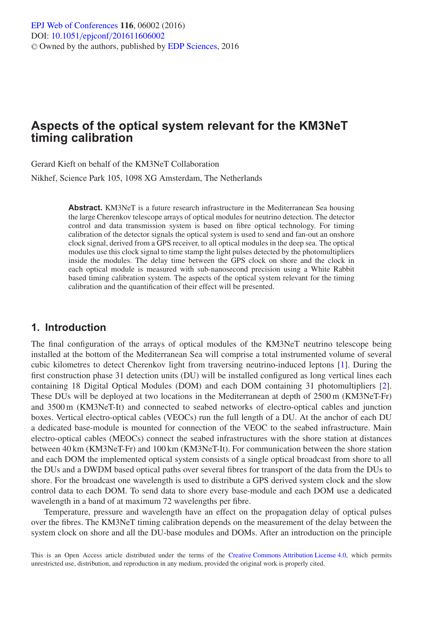# **Aspects of the optical system relevant for the KM3NeT timing calibration**

Gerard Kieft on behalf of the KM3NeT Collaboration

Nikhef, Science Park 105, 1098 XG Amsterdam, The Netherlands

**Abstract.** KM3NeT is a future research infrastructure in the Mediterranean Sea housing the large Cherenkov telescope arrays of optical modules for neutrino detection. The detector control and data transmission system is based on fibre optical technology. For timing calibration of the detector signals the optical system is used to send and fan-out an onshore clock signal, derived from a GPS receiver, to all optical modules in the deep sea. The optical modules use this clock signal to time stamp the light pulses detected by the photomultipliers inside the modules. The delay time between the GPS clock on shore and the clock in each optical module is measured with sub-nanosecond precision using a White Rabbit based timing calibration system. The aspects of the optical system relevant for the timing calibration and the quantification of their effect will be presented.

### **1. Introduction**

The final configuration of the arrays of optical modules of the KM3NeT neutrino telescope being installed at the bottom of the Mediterranean Sea will comprise a total instrumented volume of several cubic kilometres to detect Cherenkov light from traversing neutrino-induced leptons [\[1](#page-5-0)]. During the first construction phase 31 detection units (DU) will be installed configured as long vertical lines each containing 18 Digital Optical Modules (DOM) and each DOM containing 31 photomultipliers [\[2\]](#page-5-1). These DUs will be deployed at two locations in the Mediterranean at depth of 2500 m (KM3NeT-Fr) and 3500 m (KM3NeT-It) and connected to seabed networks of electro-optical cables and junction boxes. Vertical electro-optical cables (VEOCs) run the full length of a DU. At the anchor of each DU a dedicated base-module is mounted for connection of the VEOC to the seabed infrastructure. Main electro-optical cables (MEOCs) connect the seabed infrastructures with the shore station at distances between 40 km (KM3NeT-Fr) and 100 km (KM3NeT-It). For communication between the shore station and each DOM the implemented optical system consists of a single optical broadcast from shore to all the DUs and a DWDM based optical paths over several fibres for transport of the data from the DUs to shore. For the broadcast one wavelength is used to distribute a GPS derived system clock and the slow control data to each DOM. To send data to shore every base-module and each DOM use a dedicated wavelength in a band of at maximum 72 wavelengths per fibre.

Temperature, pressure and wavelength have an effect on the propagation delay of optical pulses over the fibres. The KM3NeT timing calibration depends on the measurement of the delay between the system clock on shore and all the DU-base modules and DOMs. After an introduction on the principle

This is an Open Access article distributed under the terms of the [Creative Commons Attribution License 4.0,](http://creativecommons.org/licenses/by/4.0/) which permits unrestricted use, distribution, and reproduction in any medium, provided the original work is properly cited.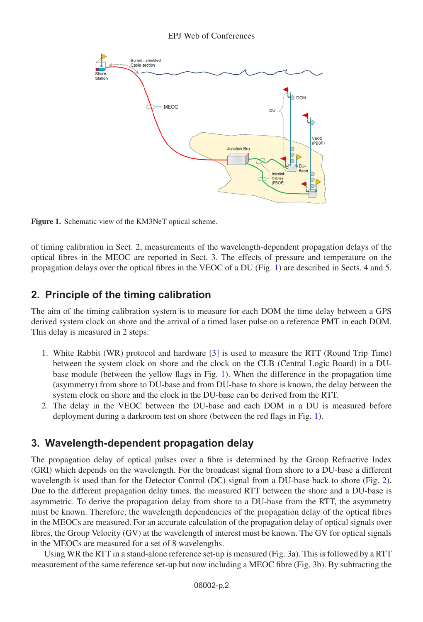<span id="page-1-0"></span>

**Figure 1.** Schematic view of the KM3NeT optical scheme.

of timing calibration in Sect. 2, measurements of the wavelength-dependent propagation delays of the optical fibres in the MEOC are reported in Sect. 3. The effects of pressure and temperature on the propagation delays over the optical fibres in the VEOC of a DU (Fig. [1\)](#page-1-0) are described in Sects. 4 and 5.

# **2. Principle of the timing calibration**

The aim of the timing calibration system is to measure for each DOM the time delay between a GPS derived system clock on shore and the arrival of a timed laser pulse on a reference PMT in each DOM. This delay is measured in 2 steps:

- 1. White Rabbit (WR) protocol and hardware [\[3\]](#page-5-2) is used to measure the RTT (Round Trip Time) between the system clock on shore and the clock on the CLB (Central Logic Board) in a DUbase module (between the yellow flags in Fig. [1\)](#page-1-0). When the difference in the propagation time (asymmetry) from shore to DU-base and from DU-base to shore is known, the delay between the system clock on shore and the clock in the DU-base can be derived from the RTT.
- 2. The delay in the VEOC between the DU-base and each DOM in a DU is measured before deployment during a darkroom test on shore (between the red flags in Fig. [1\)](#page-1-0).

# **3. Wavelength-dependent propagation delay**

The propagation delay of optical pulses over a fibre is determined by the Group Refractive Index (GRI) which depends on the wavelength. For the broadcast signal from shore to a DU-base a different wavelength is used than for the Detector Control (DC) signal from a DU-base back to shore (Fig. [2\)](#page-2-0). Due to the different propagation delay times, the measured RTT between the shore and a DU-base is asymmetric. To derive the propagation delay from shore to a DU-base from the RTT, the asymmetry must be known. Therefore, the wavelength dependencies of the propagation delay of the optical fibres in the MEOCs are measured. For an accurate calculation of the propagation delay of optical signals over fibres, the Group Velocity (GV) at the wavelength of interest must be known. The GV for optical signals in the MEOCs are measured for a set of 8 wavelengths.

Using WR the RTT in a stand-alone reference set-up is measured (Fig. 3a). This is followed by a RTT measurement of the same reference set-up but now including a MEOC fibre (Fig. 3b). By subtracting the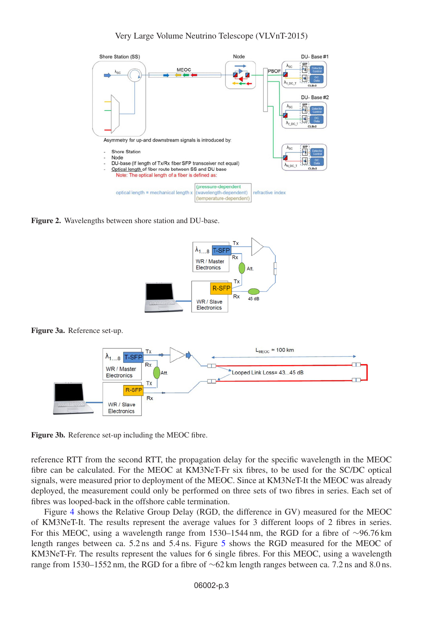<span id="page-2-0"></span>

<span id="page-2-1"></span>**Figure 2.** Wavelengths between shore station and DU-base.





**Figure 3b.** Reference set-up including the MEOC fibre.

**Figure 3a.** Reference set-up.

reference RTT from the second RTT, the propagation delay for the specific wavelength in the MEOC fibre can be calculated. For the MEOC at KM3NeT-Fr six fibres, to be used for the SC/DC optical signals, were measured prior to deployment of the MEOC. Since at KM3NeT-It the MEOC was already deployed, the measurement could only be performed on three sets of two fibres in series. Each set of fibres was looped-back in the offshore cable termination.

Figure [4](#page-2-1) shows the Relative Group Delay (RGD, the difference in GV) measured for the MEOC of KM3NeT-It. The results represent the average values for 3 different loops of 2 fibres in series. For this MEOC, using a wavelength range from 1530–1544 nm, the RGD for a fibre of ∼96.76 km length ranges between ca. 5.2 ns and 5.4 ns. Figure [5](#page-3-0) shows the RGD measured for the MEOC of KM3NeT-Fr. The results represent the values for 6 single fibres. For this MEOC, using a wavelength range from 1530–1552 nm, the RGD for a fibre of ∼62 km length ranges between ca. 7.2 ns and 8.0 ns.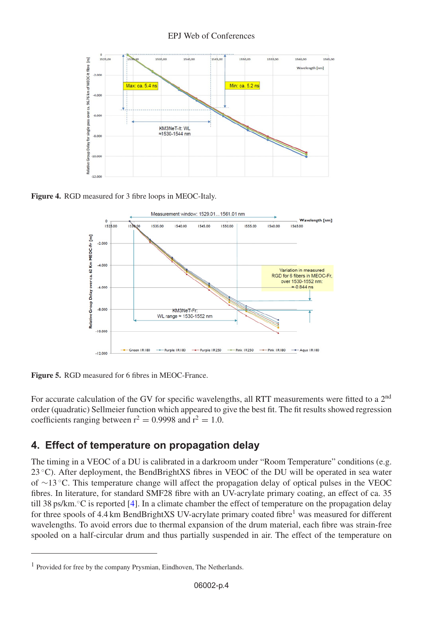#### EPJ Web of Conferences



<span id="page-3-0"></span>**Figure 4.** RGD measured for 3 fibre loops in MEOC-Italy.



**Figure 5.** RGD measured for 6 fibres in MEOC-France.

For accurate calculation of the GV for specific wavelengths, all RTT measurements were fitted to a  $2<sup>nd</sup>$ order (quadratic) Sellmeier function which appeared to give the best fit. The fit results showed regression coefficients ranging between  $r^2 = 0.9998$  and  $r^2 = 1.0$ .

### **4. Effect of temperature on propagation delay**

The timing in a VEOC of a DU is calibrated in a darkroom under "Room Temperature" conditions (e.g.  $23 \degree$ C). After deployment, the BendBrightXS fibres in VEOC of the DU will be operated in sea water of ∼13 ◦C. This temperature change will affect the propagation delay of optical pulses in the VEOC fibres. In literature, for standard SMF28 fibre with an UV-acrylate primary coating, an effect of ca. 35 till 38 ps/km.◦C is reported [\[4\]](#page-5-3). In a climate chamber the effect of temperature on the propagation delay for three spools of 4.4 km BendBrightXS UV-acrylate primary coated fibre<sup>1</sup> was measured for different wavelengths. To avoid errors due to thermal expansion of the drum material, each fibre was strain-free spooled on a half-circular drum and thus partially suspended in air. The effect of the temperature on

<sup>&</sup>lt;sup>1</sup> Provided for free by the company Prysmian, Eindhoven, The Netherlands.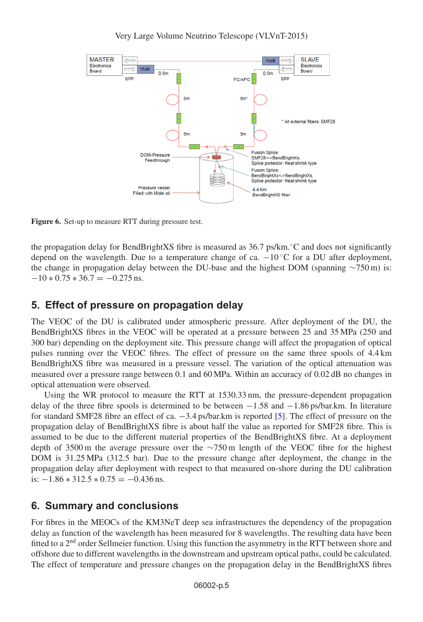Very Large Volume Neutrino Telescope (VLVnT-2015)



**Figure 6.** Set-up to measure RTT during pressure test.

the propagation delay for BendBrightXS fibre is measured as 36.7 ps/km.◦C and does not significantly depend on the wavelength. Due to a temperature change of ca.  $-10\degree C$  for a DU after deployment, the change in propagation delay between the DU-base and the highest DOM (spanning  $\sim$ 750 m) is:  $-10 * 0.75 * 36.7 = -0.275$  ns.

### **5. Effect of pressure on propagation delay**

The VEOC of the DU is calibrated under atmospheric pressure. After deployment of the DU, the BendBrightXS fibres in the VEOC will be operated at a pressure between 25 and 35 MPa (250 and 300 bar) depending on the deployment site. This pressure change will affect the propagation of optical pulses running over the VEOC fibres. The effect of pressure on the same three spools of 4.4 km BendBrightXS fibre was measured in a pressure vessel. The variation of the optical attenuation was measured over a pressure range between 0.1 and 60 MPa. Within an accuracy of 0.02 dB no changes in optical attenuation were observed.

Using the WR protocol to measure the RTT at 1530.33 nm, the pressure-dependent propagation delay of the three fibre spools is determined to be between −1.58 and −1.86 ps/bar.km. In literature for standard SMF28 fibre an effect of ca. −3.4 ps/bar.km is reported [\[5\]](#page-5-4). The effect of pressure on the propagation delay of BendBrightXS fibre is about half the value as reported for SMF28 fibre. This is assumed to be due to the different material properties of the BendBrightXS fibre. At a deployment depth of 3500 m the average pressure over the ∼750 m length of the VEOC fibre for the highest DOM is 31.25 MPa (312.5 bar). Due to the pressure change after deployment, the change in the propagation delay after deployment with respect to that measured on-shore during the DU calibration is:  $-1.86 \times 312.5 \times 0.75 = -0.436$  ns.

### **6. Summary and conclusions**

For fibres in the MEOCs of the KM3NeT deep sea infrastructures the dependency of the propagation delay as function of the wavelength has been measured for 8 wavelengths. The resulting data have been fitted to a  $2<sup>nd</sup>$  order Sellmeier function. Using this function the asymmetry in the RTT between shore and offshore due to different wavelengths in the downstream and upstream optical paths, could be calculated. The effect of temperature and pressure changes on the propagation delay in the BendBrightXS fibres